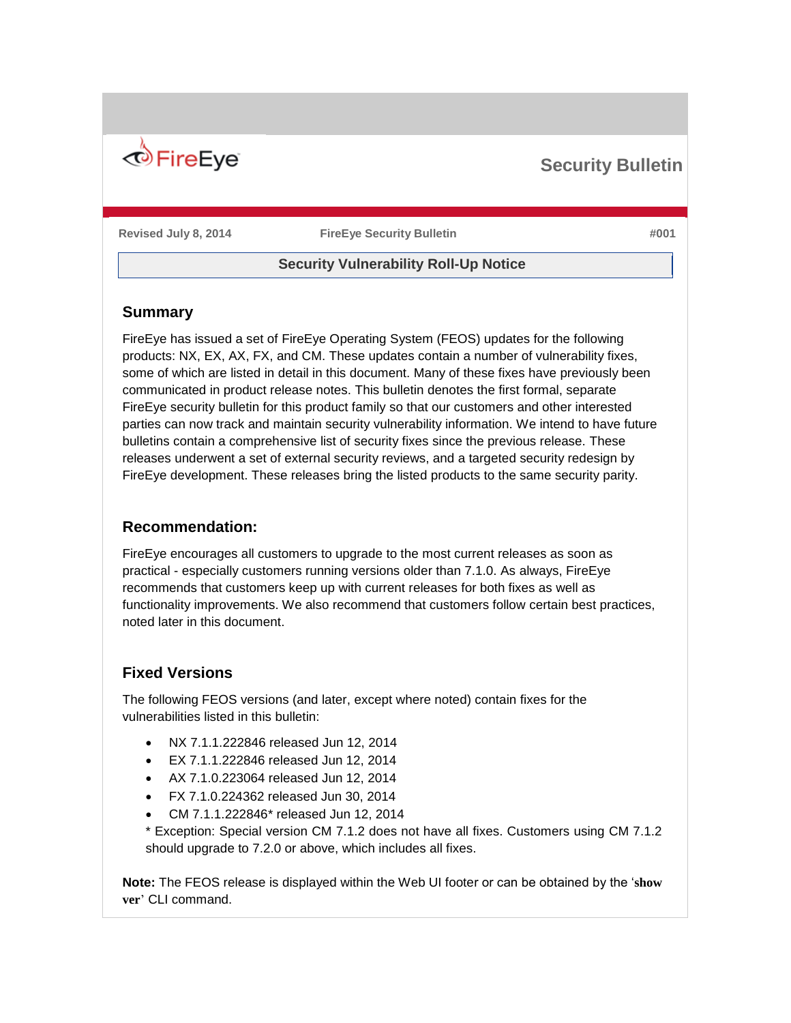

# **Security Bulletin**

**Revised July 8, 2014 FireEye Security Bulletin #001**

# **Security Vulnerability Roll-Up Notice**

### **Summary**

FireEye has issued a set of FireEye Operating System (FEOS) updates for the following products: NX, EX, AX, FX, and CM. These updates contain a number of vulnerability fixes, some of which are listed in detail in this document. Many of these fixes have previously been communicated in product release notes. This bulletin denotes the first formal, separate FireEye security bulletin for this product family so that our customers and other interested parties can now track and maintain security vulnerability information. We intend to have future bulletins contain a comprehensive list of security fixes since the previous release. These releases underwent a set of external security reviews, and a targeted security redesign by FireEye development. These releases bring the listed products to the same security parity.

# **Recommendation:**

FireEye encourages all customers to upgrade to the most current releases as soon as practical - especially customers running versions older than 7.1.0. As always, FireEye recommends that customers keep up with current releases for both fixes as well as functionality improvements. We also recommend that customers follow certain best practices, noted later in this document.

# **Fixed Versions**

The following FEOS versions (and later, except where noted) contain fixes for the vulnerabilities listed in this bulletin:

- NX 7.1.1.222846 released Jun 12, 2014
- EX 7.1.1.222846 released Jun 12, 2014
- AX 7.1.0.223064 released Jun 12, 2014
- FX 7.1.0.224362 released Jun 30, 2014
- CM 7.1.1.222846\* released Jun 12, 2014

\* Exception: Special version CM 7.1.2 does not have all fixes. Customers using CM 7.1.2 should upgrade to 7.2.0 or above, which includes all fixes.

**Note:** The FEOS release is displayed within the Web UI footer or can be obtained by the '**show ver**' CLI command.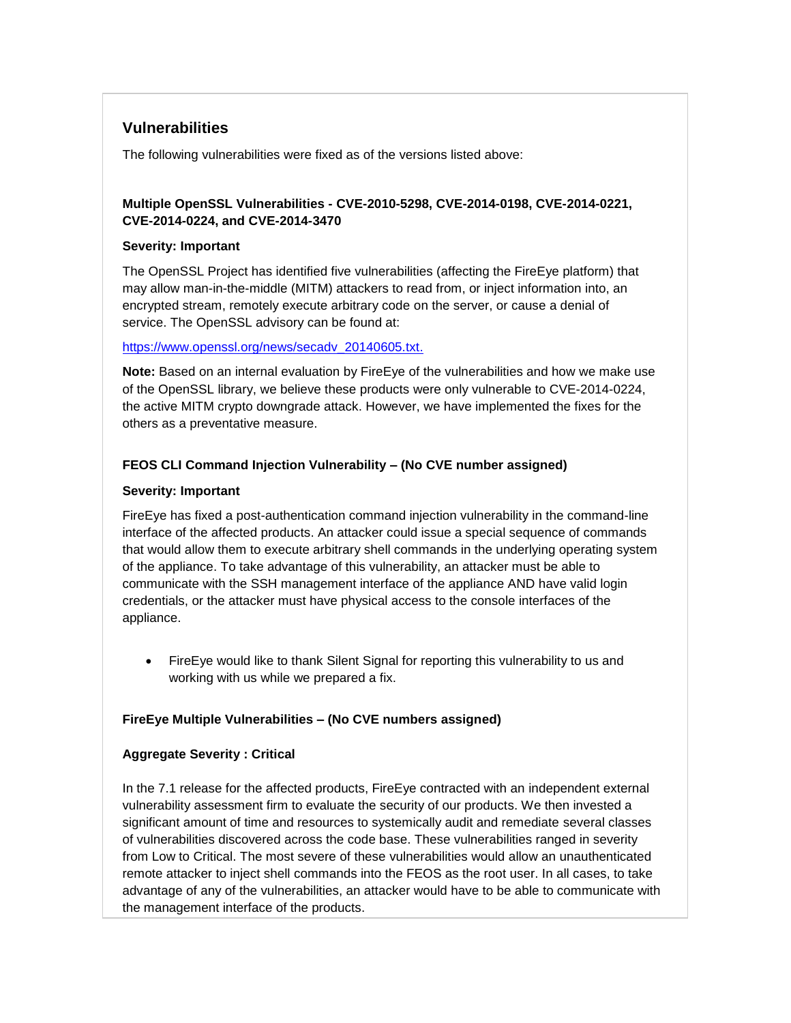# **Vulnerabilities**

The following vulnerabilities were fixed as of the versions listed above:

### **Multiple OpenSSL Vulnerabilities - CVE-2010-5298, CVE-2014-0198, CVE-2014-0221, CVE-2014-0224, and CVE-2014-3470**

#### **Severity: Important**

The OpenSSL Project has identified five vulnerabilities (affecting the FireEye platform) that may allow man-in-the-middle (MITM) attackers to read from, or inject information into, an encrypted stream, remotely execute arbitrary code on the server, or cause a denial of service. The OpenSSL advisory can be found at:

#### [https://www.openssl.org/news/secadv\\_20140605.txt.](https://www.openssl.org/news/secadv_20140605.txt)

**Note:** Based on an internal evaluation by FireEye of the vulnerabilities and how we make use of the OpenSSL library, we believe these products were only vulnerable to CVE-2014-0224, the active MITM crypto downgrade attack. However, we have implemented the fixes for the others as a preventative measure.

# **FEOS CLI Command Injection Vulnerability – (No CVE number assigned)**

#### **Severity: Important**

FireEye has fixed a post-authentication command injection vulnerability in the command-line interface of the affected products. An attacker could issue a special sequence of commands that would allow them to execute arbitrary shell commands in the underlying operating system of the appliance. To take advantage of this vulnerability, an attacker must be able to communicate with the SSH management interface of the appliance AND have valid login credentials, or the attacker must have physical access to the console interfaces of the appliance.

 FireEye would like to thank Silent Signal for reporting this vulnerability to us and working with us while we prepared a fix.

#### **FireEye Multiple Vulnerabilities – (No CVE numbers assigned)**

#### **Aggregate Severity : Critical**

In the 7.1 release for the affected products, FireEye contracted with an independent external vulnerability assessment firm to evaluate the security of our products. We then invested a significant amount of time and resources to systemically audit and remediate several classes of vulnerabilities discovered across the code base. These vulnerabilities ranged in severity from Low to Critical. The most severe of these vulnerabilities would allow an unauthenticated remote attacker to inject shell commands into the FEOS as the root user. In all cases, to take advantage of any of the vulnerabilities, an attacker would have to be able to communicate with the management interface of the products.